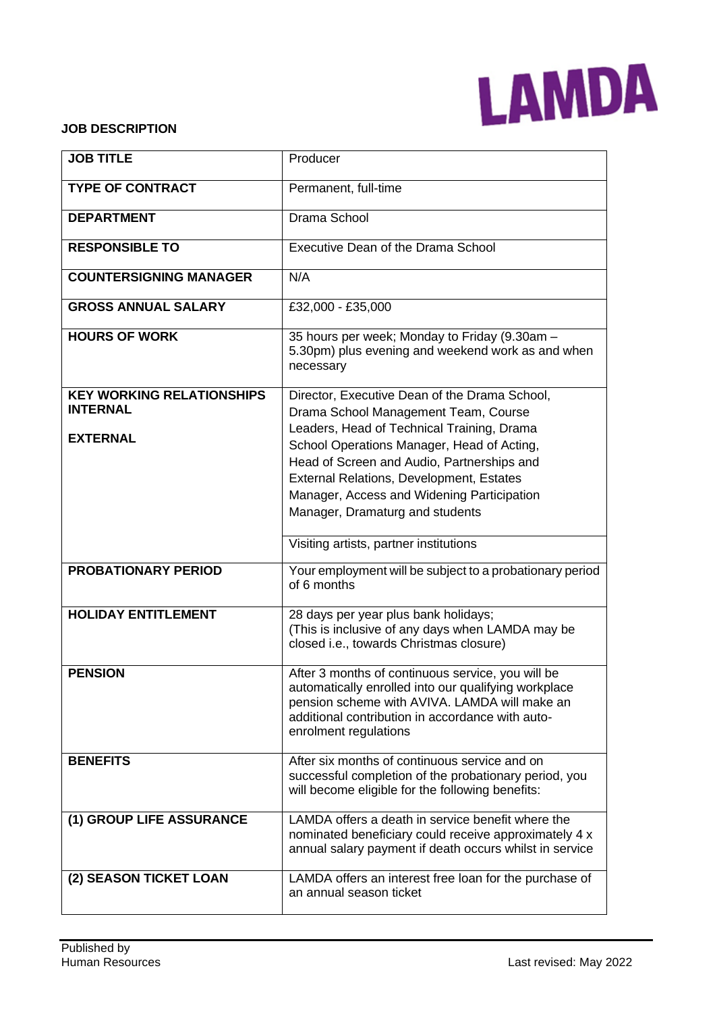

#### **JOB DESCRIPTION**

| <b>JOB TITLE</b>                                                       | Producer                                                                                                                                                                                                                                |
|------------------------------------------------------------------------|-----------------------------------------------------------------------------------------------------------------------------------------------------------------------------------------------------------------------------------------|
| <b>TYPE OF CONTRACT</b>                                                | Permanent, full-time                                                                                                                                                                                                                    |
| <b>DEPARTMENT</b>                                                      | Drama School                                                                                                                                                                                                                            |
| <b>RESPONSIBLE TO</b>                                                  | Executive Dean of the Drama School                                                                                                                                                                                                      |
| <b>COUNTERSIGNING MANAGER</b>                                          | N/A                                                                                                                                                                                                                                     |
| <b>GROSS ANNUAL SALARY</b>                                             | £32,000 - £35,000                                                                                                                                                                                                                       |
| <b>HOURS OF WORK</b>                                                   | 35 hours per week; Monday to Friday (9.30am -<br>5.30pm) plus evening and weekend work as and when<br>necessary                                                                                                                         |
| <b>KEY WORKING RELATIONSHIPS</b><br><b>INTERNAL</b><br><b>EXTERNAL</b> | Director, Executive Dean of the Drama School,<br>Drama School Management Team, Course<br>Leaders, Head of Technical Training, Drama                                                                                                     |
|                                                                        | School Operations Manager, Head of Acting,<br>Head of Screen and Audio, Partnerships and<br>External Relations, Development, Estates<br>Manager, Access and Widening Participation<br>Manager, Dramaturg and students                   |
|                                                                        | Visiting artists, partner institutions                                                                                                                                                                                                  |
| <b>PROBATIONARY PERIOD</b>                                             | Your employment will be subject to a probationary period<br>of 6 months                                                                                                                                                                 |
| <b>HOLIDAY ENTITLEMENT</b>                                             | 28 days per year plus bank holidays;<br>(This is inclusive of any days when LAMDA may be<br>closed i.e., towards Christmas closure)                                                                                                     |
| <b>PENSION</b>                                                         | After 3 months of continuous service, you will be<br>automatically enrolled into our qualifying workplace<br>pension scheme with AVIVA. LAMDA will make an<br>additional contribution in accordance with auto-<br>enrolment regulations |
| <b>BENEFITS</b>                                                        | After six months of continuous service and on<br>successful completion of the probationary period, you<br>will become eligible for the following benefits:                                                                              |
| (1) GROUP LIFE ASSURANCE                                               | LAMDA offers a death in service benefit where the<br>nominated beneficiary could receive approximately 4 x<br>annual salary payment if death occurs whilst in service                                                                   |
| (2) SEASON TICKET LOAN                                                 | LAMDA offers an interest free loan for the purchase of<br>an annual season ticket                                                                                                                                                       |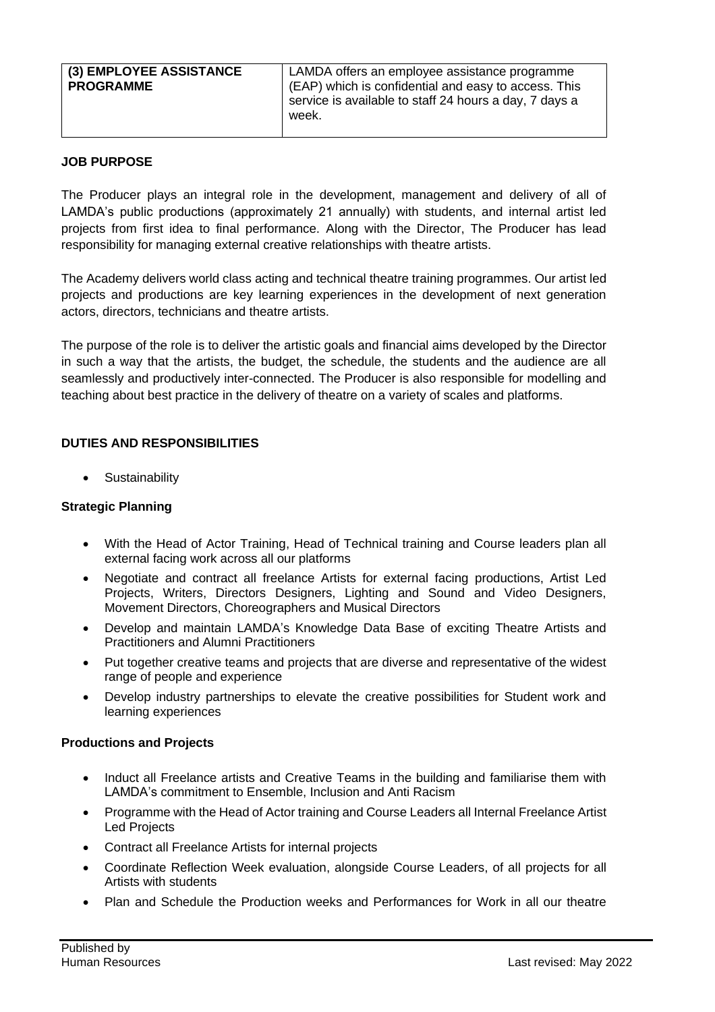| (3) EMPLOYEE ASSISTANCE | LAMDA offers an employee assistance programme          |
|-------------------------|--------------------------------------------------------|
| <b>PROGRAMME</b>        | (EAP) which is confidential and easy to access. This   |
| week.                   | service is available to staff 24 hours a day, 7 days a |

## **JOB PURPOSE**

The Producer plays an integral role in the development, management and delivery of all of LAMDA's public productions (approximately 21 annually) with students, and internal artist led projects from first idea to final performance. Along with the Director, The Producer has lead responsibility for managing external creative relationships with theatre artists.

The Academy delivers world class acting and technical theatre training programmes. Our artist led projects and productions are key learning experiences in the development of next generation actors, directors, technicians and theatre artists.

The purpose of the role is to deliver the artistic goals and financial aims developed by the Director in such a way that the artists, the budget, the schedule, the students and the audience are all seamlessly and productively inter-connected. The Producer is also responsible for modelling and teaching about best practice in the delivery of theatre on a variety of scales and platforms.

## **DUTIES AND RESPONSIBILITIES**

• Sustainability

### **Strategic Planning**

- With the Head of Actor Training, Head of Technical training and Course leaders plan all external facing work across all our platforms
- Negotiate and contract all freelance Artists for external facing productions, Artist Led Projects, Writers, Directors Designers, Lighting and Sound and Video Designers, Movement Directors, Choreographers and Musical Directors
- Develop and maintain LAMDA's Knowledge Data Base of exciting Theatre Artists and Practitioners and Alumni Practitioners
- Put together creative teams and projects that are diverse and representative of the widest range of people and experience
- Develop industry partnerships to elevate the creative possibilities for Student work and learning experiences

#### **Productions and Projects**

- Induct all Freelance artists and Creative Teams in the building and familiarise them with LAMDA's commitment to Ensemble, Inclusion and Anti Racism
- Programme with the Head of Actor training and Course Leaders all Internal Freelance Artist Led Projects
- Contract all Freelance Artists for internal projects
- Coordinate Reflection Week evaluation, alongside Course Leaders, of all projects for all Artists with students
- Plan and Schedule the Production weeks and Performances for Work in all our theatre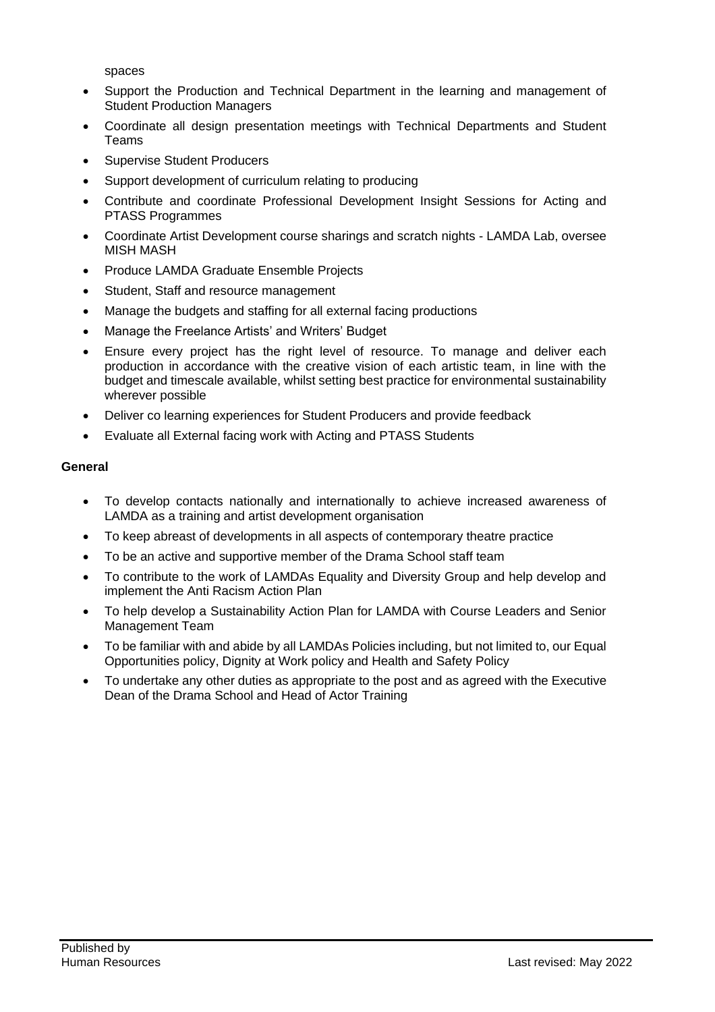spaces

- Support the Production and Technical Department in the learning and management of Student Production Managers
- Coordinate all design presentation meetings with Technical Departments and Student Teams
- Supervise Student Producers
- Support development of curriculum relating to producing
- Contribute and coordinate Professional Development Insight Sessions for Acting and PTASS Programmes
- Coordinate Artist Development course sharings and scratch nights LAMDA Lab, oversee MISH MASH
- Produce LAMDA Graduate Ensemble Projects
- Student, Staff and resource management
- Manage the budgets and staffing for all external facing productions
- Manage the Freelance Artists' and Writers' Budget
- Ensure every project has the right level of resource. To manage and deliver each production in accordance with the creative vision of each artistic team, in line with the budget and timescale available, whilst setting best practice for environmental sustainability wherever possible
- Deliver co learning experiences for Student Producers and provide feedback
- Evaluate all External facing work with Acting and PTASS Students

#### **General**

- To develop contacts nationally and internationally to achieve increased awareness of LAMDA as a training and artist development organisation
- To keep abreast of developments in all aspects of contemporary theatre practice
- To be an active and supportive member of the Drama School staff team
- To contribute to the work of LAMDAs Equality and Diversity Group and help develop and implement the Anti Racism Action Plan
- To help develop a Sustainability Action Plan for LAMDA with Course Leaders and Senior Management Team
- To be familiar with and abide by all LAMDAs Policies including, but not limited to, our Equal Opportunities policy, Dignity at Work policy and Health and Safety Policy
- To undertake any other duties as appropriate to the post and as agreed with the Executive Dean of the Drama School and Head of Actor Training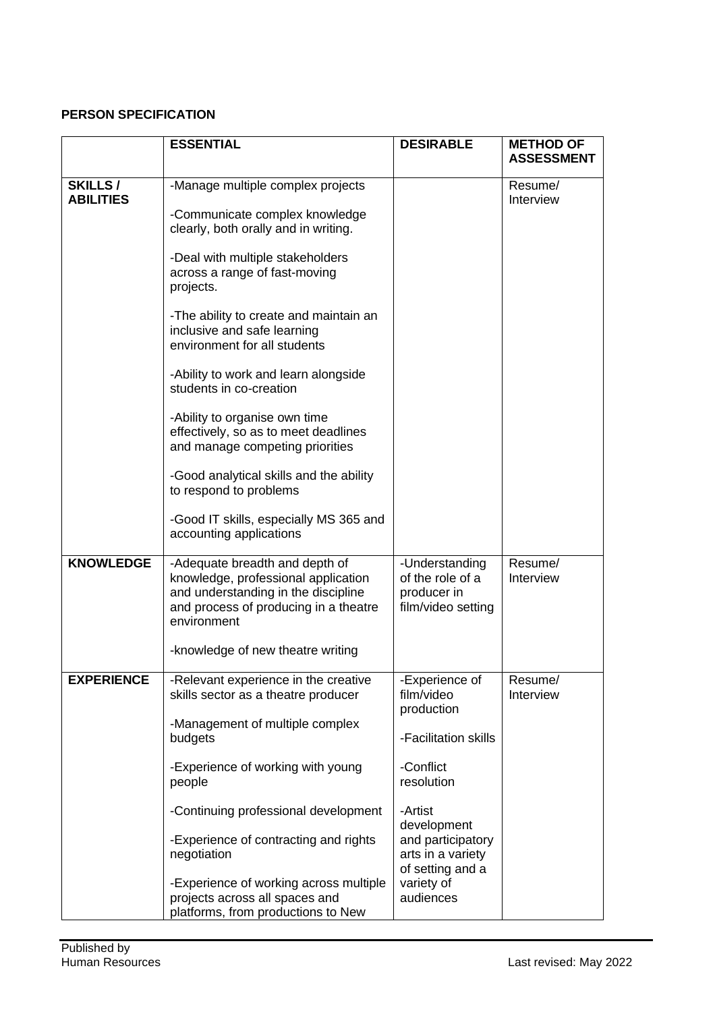# **PERSON SPECIFICATION**

|                                    | <b>ESSENTIAL</b>                                                                                                                                                     | <b>DESIRABLE</b>                                                        | <b>METHOD OF</b><br><b>ASSESSMENT</b> |
|------------------------------------|----------------------------------------------------------------------------------------------------------------------------------------------------------------------|-------------------------------------------------------------------------|---------------------------------------|
| <b>SKILLS/</b><br><b>ABILITIES</b> | -Manage multiple complex projects<br>-Communicate complex knowledge<br>clearly, both orally and in writing.                                                          |                                                                         | Resume/<br>Interview                  |
|                                    | -Deal with multiple stakeholders<br>across a range of fast-moving<br>projects.                                                                                       |                                                                         |                                       |
|                                    | -The ability to create and maintain an<br>inclusive and safe learning<br>environment for all students                                                                |                                                                         |                                       |
|                                    | -Ability to work and learn alongside<br>students in co-creation                                                                                                      |                                                                         |                                       |
|                                    | -Ability to organise own time<br>effectively, so as to meet deadlines<br>and manage competing priorities                                                             |                                                                         |                                       |
|                                    | -Good analytical skills and the ability<br>to respond to problems                                                                                                    |                                                                         |                                       |
|                                    | -Good IT skills, especially MS 365 and<br>accounting applications                                                                                                    |                                                                         |                                       |
| <b>KNOWLEDGE</b>                   | -Adequate breadth and depth of<br>knowledge, professional application<br>and understanding in the discipline<br>and process of producing in a theatre<br>environment | -Understanding<br>of the role of a<br>producer in<br>film/video setting | Resume/<br>Interview                  |
|                                    | -knowledge of new theatre writing                                                                                                                                    |                                                                         |                                       |
| <b>EXPERIENCE</b>                  | -Relevant experience in the creative<br>skills sector as a theatre producer                                                                                          | -Experience of<br>film/video<br>production                              | Resume/<br>Interview                  |
|                                    | -Management of multiple complex<br>budgets                                                                                                                           | -Facilitation skills                                                    |                                       |
|                                    | -Experience of working with young<br>people                                                                                                                          | -Conflict<br>resolution                                                 |                                       |
|                                    | -Continuing professional development                                                                                                                                 | -Artist<br>development                                                  |                                       |
|                                    | -Experience of contracting and rights<br>negotiation                                                                                                                 | and participatory<br>arts in a variety<br>of setting and a              |                                       |
|                                    | -Experience of working across multiple<br>projects across all spaces and<br>platforms, from productions to New                                                       | variety of<br>audiences                                                 |                                       |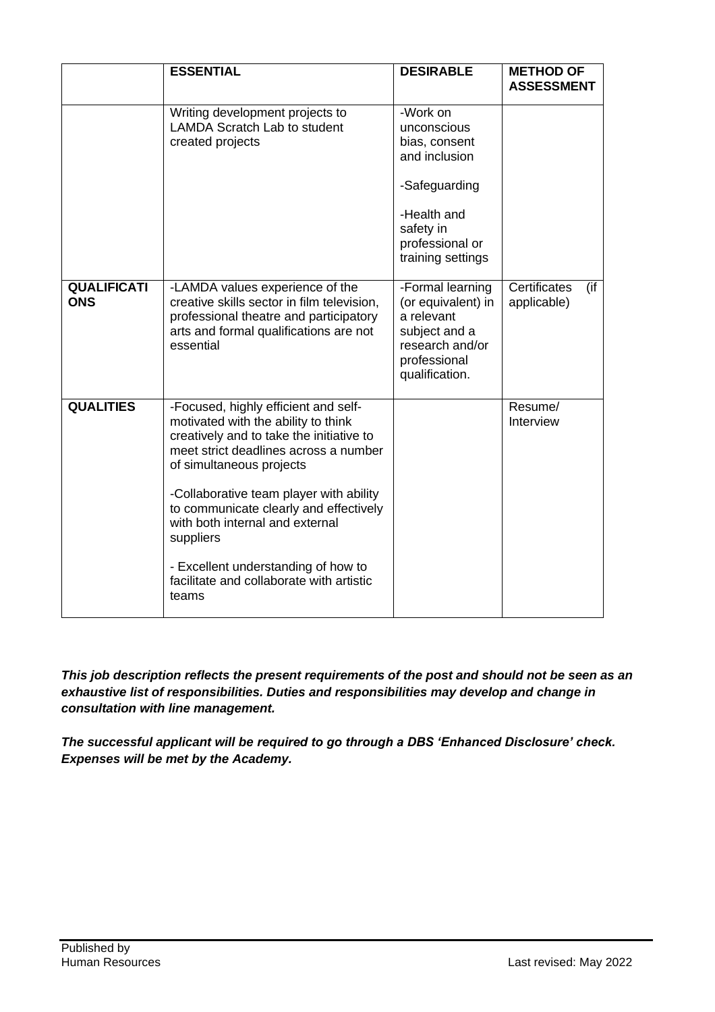|                                  | <b>ESSENTIAL</b>                                                                                                                                                                                                                                                                                                                                                                                                              | <b>DESIRABLE</b>                                                                                                                               | <b>METHOD OF</b><br><b>ASSESSMENT</b> |
|----------------------------------|-------------------------------------------------------------------------------------------------------------------------------------------------------------------------------------------------------------------------------------------------------------------------------------------------------------------------------------------------------------------------------------------------------------------------------|------------------------------------------------------------------------------------------------------------------------------------------------|---------------------------------------|
|                                  | Writing development projects to<br><b>LAMDA Scratch Lab to student</b><br>created projects                                                                                                                                                                                                                                                                                                                                    | -Work on<br>unconscious<br>bias, consent<br>and inclusion<br>-Safeguarding<br>-Health and<br>safety in<br>professional or<br>training settings |                                       |
| <b>QUALIFICATI</b><br><b>ONS</b> | -LAMDA values experience of the<br>creative skills sector in film television,<br>professional theatre and participatory<br>arts and formal qualifications are not<br>essential                                                                                                                                                                                                                                                | -Formal learning<br>(or equivalent) in<br>a relevant<br>subject and a<br>research and/or<br>professional<br>qualification.                     | Certificates<br>(if<br>applicable)    |
| <b>QUALITIES</b>                 | -Focused, highly efficient and self-<br>motivated with the ability to think<br>creatively and to take the initiative to<br>meet strict deadlines across a number<br>of simultaneous projects<br>-Collaborative team player with ability<br>to communicate clearly and effectively<br>with both internal and external<br>suppliers<br>- Excellent understanding of how to<br>facilitate and collaborate with artistic<br>teams |                                                                                                                                                | Resume/<br>Interview                  |

*This job description reflects the present requirements of the post and should not be seen as an exhaustive list of responsibilities. Duties and responsibilities may develop and change in consultation with line management.*

*The successful applicant will be required to go through a DBS 'Enhanced Disclosure' check. Expenses will be met by the Academy.*